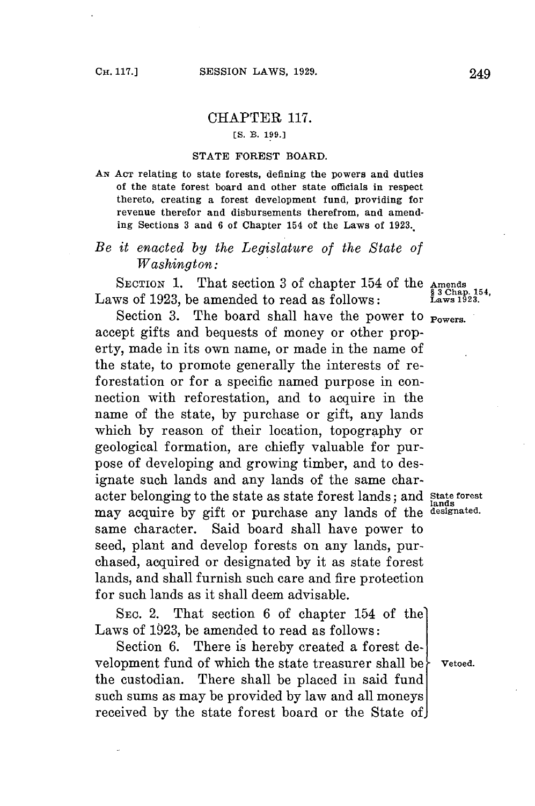## CHAPTER **117.**

**[S. B. 199.]**

## **STATE FOREST BOARD.**

**AN ACT relating to state forests, defining the powers and duties of the state forest board and other state officials in respect thereto, creating a forest development fund, providing for revenue therefor and disbursements therefrom, and amending Sections 3 and 6 of Chapter 154 of the Laws of 1923..**

## *Be it enacted by the Legislature of the State of Washington:*

SECTION 1. That section 3 of chapter 154 of the Amends<br>ws of 1923, he amended to read as follows: Laws of 1923, be amended to read as follows:

Section 3. The board shall have the power to **POWETS.** accept gifts and bequests of money or other property, made in its own name, or made in the name of the state, to promote generally the interests of reforestation or for a specific named purpose in connection with reforestation, and to acquire in the name of the state, **by** purchase or gift, any lands which **by** reason of their location, topography or geological formation, are chiefly valuable for purpose of developing and growing timber, and to designate such lands and any lands of the same character belonging to the state as state forest lands; and state forest may acquire by gift or purchase any lands of the designated. same character. Said board shall have power to seed, plant and develop forests on any lands, purchased, acquired or designated **by** it as state forest lands, and shall furnish such care and fire protection **for** such lands as it shall deem advisable.

**SEc.** 2. That section **6** of chapter 154 of the Laws of **1923,** be amended to read as follows:

Section **6.** There is hereby created a forest development fund of which the state treasurer shall be  $\}$  vetoed. the custodian. There shall be placed in said fund such sums as may be provided **by** law and all moneys received **by** the state forest board or the State of

lands